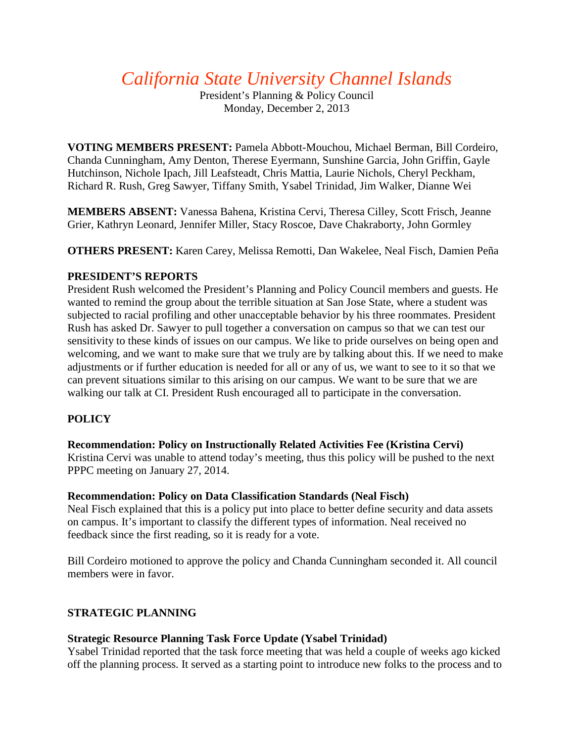# *California State University Channel Islands*

President's Planning & Policy Council Monday, December 2, 2013

**VOTING MEMBERS PRESENT:** Pamela Abbott-Mouchou, Michael Berman, Bill Cordeiro, Chanda Cunningham, Amy Denton, Therese Eyermann, Sunshine Garcia, John Griffin, Gayle Hutchinson, Nichole Ipach, Jill Leafsteadt, Chris Mattia, Laurie Nichols, Cheryl Peckham, Richard R. Rush, Greg Sawyer, Tiffany Smith, Ysabel Trinidad, Jim Walker, Dianne Wei

**MEMBERS ABSENT:** Vanessa Bahena, Kristina Cervi, Theresa Cilley, Scott Frisch, Jeanne Grier, Kathryn Leonard, Jennifer Miller, Stacy Roscoe, Dave Chakraborty, John Gormley

**OTHERS PRESENT:** Karen Carey, Melissa Remotti, Dan Wakelee, Neal Fisch, Damien Peña

## **PRESIDENT'S REPORTS**

President Rush welcomed the President's Planning and Policy Council members and guests. He wanted to remind the group about the terrible situation at San Jose State, where a student was subjected to racial profiling and other unacceptable behavior by his three roommates. President Rush has asked Dr. Sawyer to pull together a conversation on campus so that we can test our sensitivity to these kinds of issues on our campus. We like to pride ourselves on being open and welcoming, and we want to make sure that we truly are by talking about this. If we need to make adjustments or if further education is needed for all or any of us, we want to see to it so that we can prevent situations similar to this arising on our campus. We want to be sure that we are walking our talk at CI. President Rush encouraged all to participate in the conversation.

## **POLICY**

### **Recommendation: Policy on Instructionally Related Activities Fee (Kristina Cervi)**

Kristina Cervi was unable to attend today's meeting, thus this policy will be pushed to the next PPPC meeting on January 27, 2014.

### **Recommendation: Policy on Data Classification Standards (Neal Fisch)**

Neal Fisch explained that this is a policy put into place to better define security and data assets on campus. It's important to classify the different types of information. Neal received no feedback since the first reading, so it is ready for a vote.

Bill Cordeiro motioned to approve the policy and Chanda Cunningham seconded it. All council members were in favor.

### **STRATEGIC PLANNING**

### **Strategic Resource Planning Task Force Update (Ysabel Trinidad)**

Ysabel Trinidad reported that the task force meeting that was held a couple of weeks ago kicked off the planning process. It served as a starting point to introduce new folks to the process and to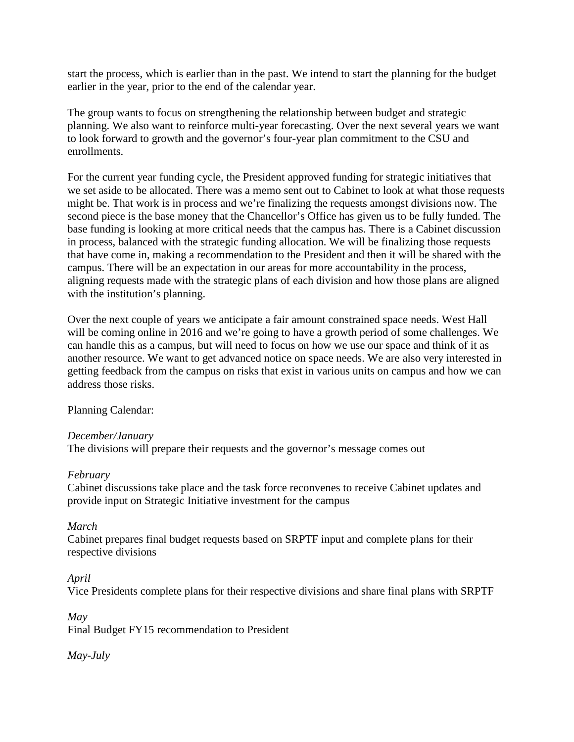start the process, which is earlier than in the past. We intend to start the planning for the budget earlier in the year, prior to the end of the calendar year.

The group wants to focus on strengthening the relationship between budget and strategic planning. We also want to reinforce multi-year forecasting. Over the next several years we want to look forward to growth and the governor's four-year plan commitment to the CSU and enrollments.

For the current year funding cycle, the President approved funding for strategic initiatives that we set aside to be allocated. There was a memo sent out to Cabinet to look at what those requests might be. That work is in process and we're finalizing the requests amongst divisions now. The second piece is the base money that the Chancellor's Office has given us to be fully funded. The base funding is looking at more critical needs that the campus has. There is a Cabinet discussion in process, balanced with the strategic funding allocation. We will be finalizing those requests that have come in, making a recommendation to the President and then it will be shared with the campus. There will be an expectation in our areas for more accountability in the process, aligning requests made with the strategic plans of each division and how those plans are aligned with the institution's planning.

Over the next couple of years we anticipate a fair amount constrained space needs. West Hall will be coming online in 2016 and we're going to have a growth period of some challenges. We can handle this as a campus, but will need to focus on how we use our space and think of it as another resource. We want to get advanced notice on space needs. We are also very interested in getting feedback from the campus on risks that exist in various units on campus and how we can address those risks.

Planning Calendar:

### *December/January*

The divisions will prepare their requests and the governor's message comes out

### *February*

Cabinet discussions take place and the task force reconvenes to receive Cabinet updates and provide input on Strategic Initiative investment for the campus

### *March*

Cabinet prepares final budget requests based on SRPTF input and complete plans for their respective divisions

#### *April*

Vice Presidents complete plans for their respective divisions and share final plans with SRPTF

*May*

Final Budget FY15 recommendation to President

*May-July*